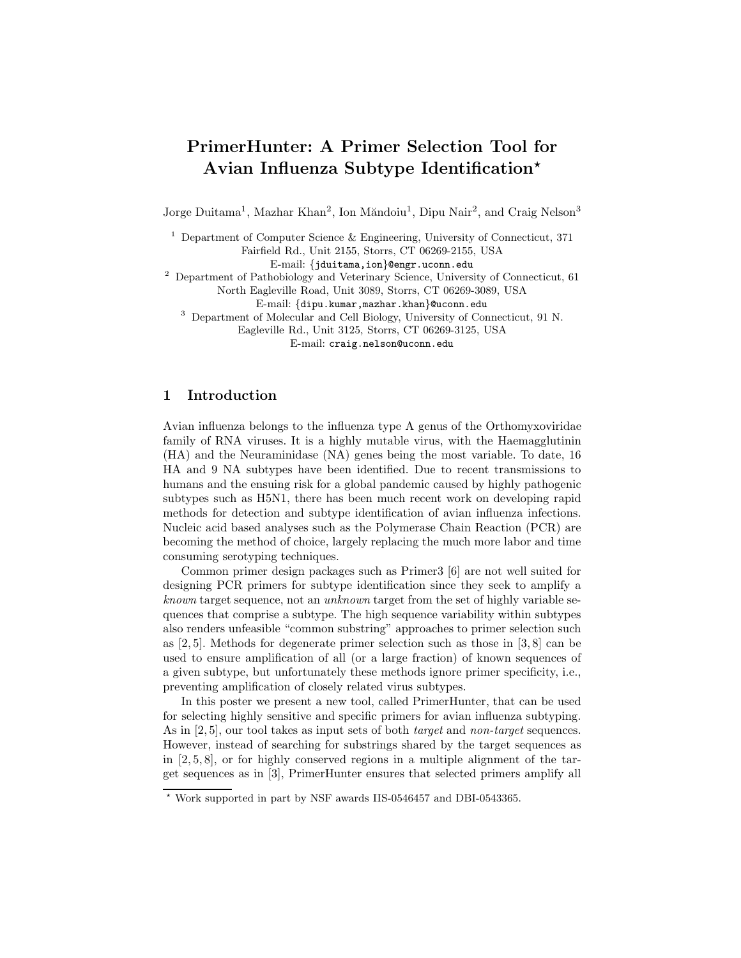# PrimerHunter: A Primer Selection Tool for Avian Influenza Subtype Identification?

Jorge Duitama<sup>1</sup>, Mazhar Khan<sup>2</sup>, Ion Măndoiu<sup>1</sup>, Dipu Nair<sup>2</sup>, and Craig Nelson<sup>3</sup>

<sup>1</sup> Department of Computer Science & Engineering, University of Connecticut, 371

Fairfield Rd., Unit 2155, Storrs, CT 06269-2155, USA

E-mail: {jduitama,ion}@engr.uconn.edu

<sup>2</sup> Department of Pathobiology and Veterinary Science, University of Connecticut, 61 North Eagleville Road, Unit 3089, Storrs, CT 06269-3089, USA

E-mail: {dipu.kumar,mazhar.khan}@uconn.edu

<sup>3</sup> Department of Molecular and Cell Biology, University of Connecticut, 91 N.

Eagleville Rd., Unit 3125, Storrs, CT 06269-3125, USA

E-mail: craig.nelson@uconn.edu

# 1 Introduction

Avian influenza belongs to the influenza type A genus of the Orthomyxoviridae family of RNA viruses. It is a highly mutable virus, with the Haemagglutinin (HA) and the Neuraminidase (NA) genes being the most variable. To date, 16 HA and 9 NA subtypes have been identified. Due to recent transmissions to humans and the ensuing risk for a global pandemic caused by highly pathogenic subtypes such as H5N1, there has been much recent work on developing rapid methods for detection and subtype identification of avian influenza infections. Nucleic acid based analyses such as the Polymerase Chain Reaction (PCR) are becoming the method of choice, largely replacing the much more labor and time consuming serotyping techniques.

Common primer design packages such as Primer3 [6] are not well suited for designing PCR primers for subtype identification since they seek to amplify a known target sequence, not an unknown target from the set of highly variable sequences that comprise a subtype. The high sequence variability within subtypes also renders unfeasible "common substring" approaches to primer selection such as [2, 5]. Methods for degenerate primer selection such as those in [3, 8] can be used to ensure amplification of all (or a large fraction) of known sequences of a given subtype, but unfortunately these methods ignore primer specificity, i.e., preventing amplification of closely related virus subtypes.

In this poster we present a new tool, called PrimerHunter, that can be used for selecting highly sensitive and specific primers for avian influenza subtyping. As in [2, 5], our tool takes as input sets of both *target* and *non-target* sequences. However, instead of searching for substrings shared by the target sequences as in  $[2, 5, 8]$ , or for highly conserved regions in a multiple alignment of the target sequences as in [3], PrimerHunter ensures that selected primers amplify all

<sup>?</sup> Work supported in part by NSF awards IIS-0546457 and DBI-0543365.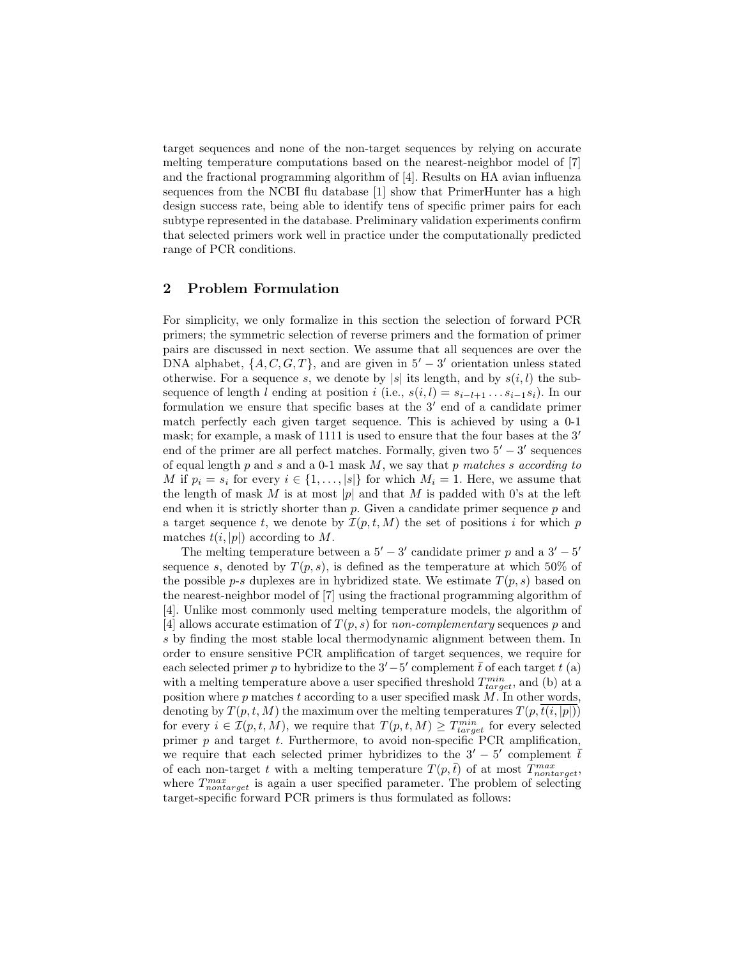target sequences and none of the non-target sequences by relying on accurate melting temperature computations based on the nearest-neighbor model of [7] and the fractional programming algorithm of [4]. Results on HA avian influenza sequences from the NCBI flu database [1] show that PrimerHunter has a high design success rate, being able to identify tens of specific primer pairs for each subtype represented in the database. Preliminary validation experiments confirm that selected primers work well in practice under the computationally predicted range of PCR conditions.

## 2 Problem Formulation

For simplicity, we only formalize in this section the selection of forward PCR primers; the symmetric selection of reverse primers and the formation of primer pairs are discussed in next section. We assume that all sequences are over the DNA alphabet,  $\{A, C, G, T\}$ , and are given in  $5' - 3'$  orientation unless stated otherwise. For a sequence s, we denote by |s| its length, and by  $s(i, l)$  the subsequence of length l ending at position i (i.e.,  $s(i, l) = s_{i-l+1} \dots s_{i-1} s_i$ ). In our formulation we ensure that specific bases at the  $3'$  end of a candidate primer match perfectly each given target sequence. This is achieved by using a 0-1 mask; for example, a mask of 1111 is used to ensure that the four bases at the 3' end of the primer are all perfect matches. Formally, given two  $5' - 3'$  sequences of equal length  $p$  and  $s$  and a 0-1 mask  $M$ , we say that  $p$  matches  $s$  according to M if  $p_i = s_i$  for every  $i \in \{1, \ldots, |s|\}$  for which  $M_i = 1$ . Here, we assume that the length of mask M is at most |p| and that M is padded with 0's at the left end when it is strictly shorter than  $p$ . Given a candidate primer sequence  $p$  and a target sequence t, we denote by  $\mathcal{I}(p,t,M)$  the set of positions i for which p matches  $t(i, |p|)$  according to M.

The melting temperature between a  $5' - 3'$  candidate primer p and a  $3' - 5'$ sequence s, denoted by  $T(p, s)$ , is defined as the temperature at which 50% of the possible p-s duplexes are in hybridized state. We estimate  $T(p, s)$  based on the nearest-neighbor model of [7] using the fractional programming algorithm of [4]. Unlike most commonly used melting temperature models, the algorithm of [4] allows accurate estimation of  $T(p, s)$  for non-complementary sequences p and s by finding the most stable local thermodynamic alignment between them. In order to ensure sensitive PCR amplification of target sequences, we require for each selected primer p to hybridize to the  $3'-5'$  complement  $\bar{t}$  of each target t (a) with a melting temperature above a user specified threshold  $T_{target}^{min}$ , and (b) at a position where  $p$  matches  $t$  according to a user specified mask  $M$ . In other words, denoting by  $T(p,t,M)$  the maximum over the melting temperatures  $T(p,t(i, |p|))$ for every  $i \in \mathcal{I}(p,t,M)$ , we require that  $T(p,t,M) \geq T_{target}^{min}$  for every selected primer  $p$  and target  $t$ . Furthermore, to avoid non-specific PCR amplification, we require that each selected primer hybridizes to the  $3' - 5'$  complement  $\overline{t}$ of each non-target t with a melting temperature  $T(p, \bar{t})$  of at most  $T_{nontarget}^{max}$ , where  $T_{nontarget}^{max}$  is again a user specified parameter. The problem of selecting target-specific forward PCR primers is thus formulated as follows: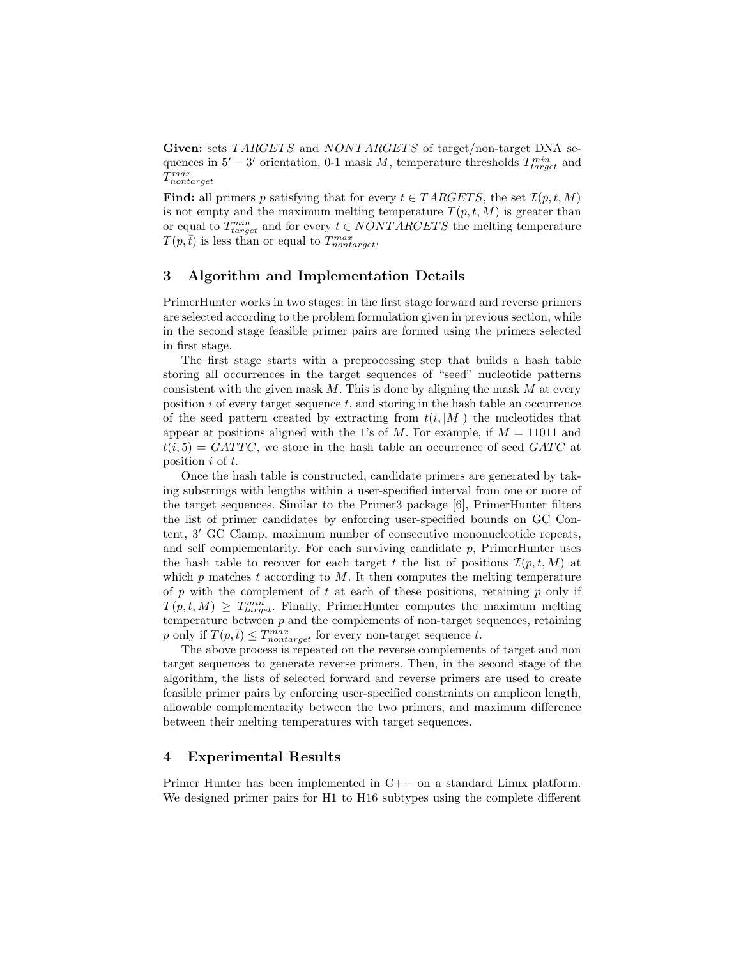Given: sets TARGETS and NONTARGETS of target/non-target DNA sequences in  $5' - 3'$  orientation, 0-1 mask M, temperature thresholds  $T_{target}^{min}$  and T max nontarget

**Find:** all primers p satisfying that for every  $t \in TRANSETS$ , the set  $\mathcal{I}(p, t, M)$ is not empty and the maximum melting temperature  $T(p,t,M)$  is greater than or equal to  $T_{target}^{min}$  and for every  $t \in NONTARGETS$  the melting temperature  $T(p, \bar{t})$  is less than or equal to  $T_{nontarget}^{max}$ .

# 3 Algorithm and Implementation Details

PrimerHunter works in two stages: in the first stage forward and reverse primers are selected according to the problem formulation given in previous section, while in the second stage feasible primer pairs are formed using the primers selected in first stage.

The first stage starts with a preprocessing step that builds a hash table storing all occurrences in the target sequences of "seed" nucleotide patterns consistent with the given mask  $M$ . This is done by aligning the mask  $M$  at every position  $i$  of every target sequence  $t$ , and storing in the hash table an occurrence of the seed pattern created by extracting from  $t(i, |M|)$  the nucleotides that appear at positions aligned with the 1's of M. For example, if  $M = 11011$  and  $t(i, 5) = GATTC$ , we store in the hash table an occurrence of seed  $GATC$  at position i of t.

Once the hash table is constructed, candidate primers are generated by taking substrings with lengths within a user-specified interval from one or more of the target sequences. Similar to the Primer3 package [6], PrimerHunter filters the list of primer candidates by enforcing user-specified bounds on GC Content, 3' GC Clamp, maximum number of consecutive mononucleotide repeats, and self complementarity. For each surviving candidate  $p$ , PrimerHunter uses the hash table to recover for each target t the list of positions  $\mathcal{I}(p,t,M)$  at which  $p$  matches  $t$  according to  $M$ . It then computes the melting temperature of  $p$  with the complement of  $t$  at each of these positions, retaining  $p$  only if  $T(p, t, M) \geq T_{target}^{min}$ . Finally, PrimerHunter computes the maximum melting temperature between  $p$  and the complements of non-target sequences, retaining p only if  $T(p, \bar{t}) \leq T_{nontarget}^{max}$  for every non-target sequence t.

The above process is repeated on the reverse complements of target and non target sequences to generate reverse primers. Then, in the second stage of the algorithm, the lists of selected forward and reverse primers are used to create feasible primer pairs by enforcing user-specified constraints on amplicon length, allowable complementarity between the two primers, and maximum difference between their melting temperatures with target sequences.

## 4 Experimental Results

Primer Hunter has been implemented in C++ on a standard Linux platform. We designed primer pairs for H1 to H16 subtypes using the complete different